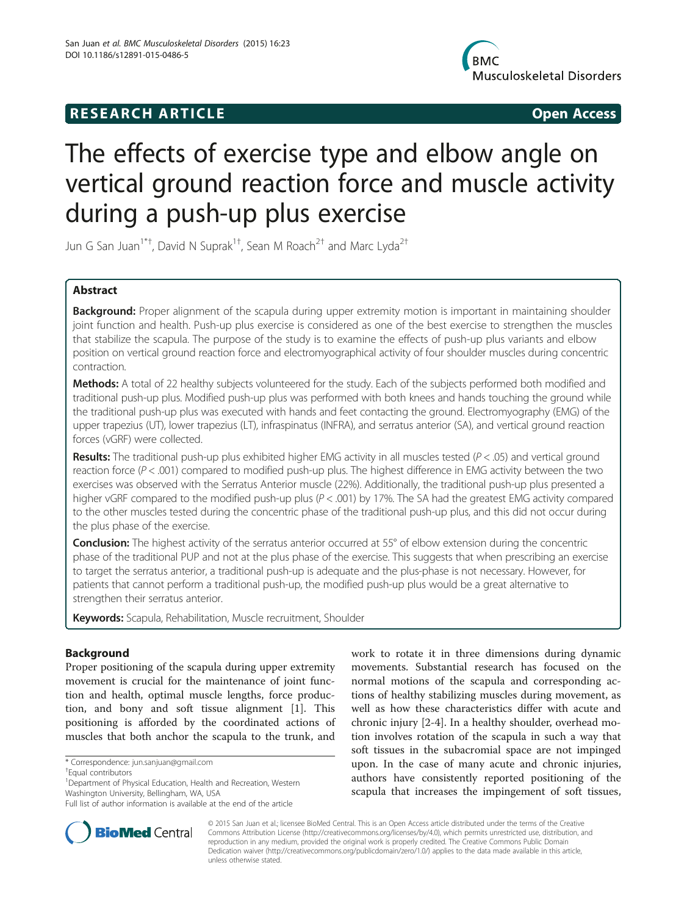# R E S EAR CH A R TIC L E Open Access



# The effects of exercise type and elbow angle on vertical ground reaction force and muscle activity during a push-up plus exercise

Jun G San Juan $^{1^{\ast}+}$ , David N Suprak $^{1^{\ast}+}$ , Sean M Roach $^{2^{\ast}}$  and Marc Lyda $^{2^{\ast}}$ 

# Abstract

Background: Proper alignment of the scapula during upper extremity motion is important in maintaining shoulder joint function and health. Push-up plus exercise is considered as one of the best exercise to strengthen the muscles that stabilize the scapula. The purpose of the study is to examine the effects of push-up plus variants and elbow position on vertical ground reaction force and electromyographical activity of four shoulder muscles during concentric contraction.

Methods: A total of 22 healthy subjects volunteered for the study. Each of the subjects performed both modified and traditional push-up plus. Modified push-up plus was performed with both knees and hands touching the ground while the traditional push-up plus was executed with hands and feet contacting the ground. Electromyography (EMG) of the upper trapezius (UT), lower trapezius (LT), infraspinatus (INFRA), and serratus anterior (SA), and vertical ground reaction forces (vGRF) were collected.

**Results:** The traditional push-up plus exhibited higher EMG activity in all muscles tested ( $P < .05$ ) and vertical ground reaction force  $(P < .001)$  compared to modified push-up plus. The highest difference in EMG activity between the two exercises was observed with the Serratus Anterior muscle (22%). Additionally, the traditional push-up plus presented a higher vGRF compared to the modified push-up plus (P < .001) by 17%. The SA had the greatest EMG activity compared to the other muscles tested during the concentric phase of the traditional push-up plus, and this did not occur during the plus phase of the exercise.

**Conclusion:** The highest activity of the serratus anterior occurred at 55° of elbow extension during the concentric phase of the traditional PUP and not at the plus phase of the exercise. This suggests that when prescribing an exercise to target the serratus anterior, a traditional push-up is adequate and the plus-phase is not necessary. However, for patients that cannot perform a traditional push-up, the modified push-up plus would be a great alternative to strengthen their serratus anterior.

Keywords: Scapula, Rehabilitation, Muscle recruitment, Shoulder

# Background

Proper positioning of the scapula during upper extremity movement is crucial for the maintenance of joint function and health, optimal muscle lengths, force production, and bony and soft tissue alignment [\[1](#page-7-0)]. This positioning is afforded by the coordinated actions of muscles that both anchor the scapula to the trunk, and

Full list of author information is available at the end of the article





© 2015 San Juan et al.; licensee BioMed Central. This is an Open Access article distributed under the terms of the Creative Commons Attribution License [\(http://creativecommons.org/licenses/by/4.0\)](http://creativecommons.org/licenses/by/4.0), which permits unrestricted use, distribution, and reproduction in any medium, provided the original work is properly credited. The Creative Commons Public Domain Dedication waiver [\(http://creativecommons.org/publicdomain/zero/1.0/](http://creativecommons.org/publicdomain/zero/1.0/)) applies to the data made available in this article, unless otherwise stated.

<sup>\*</sup> Correspondence: [jun.sanjuan@gmail.com](mailto:jun.sanjuan@gmail.com) †

Equal contributors

<sup>&</sup>lt;sup>1</sup> Department of Physical Education, Health and Recreation, Western Washington University, Bellingham, WA, USA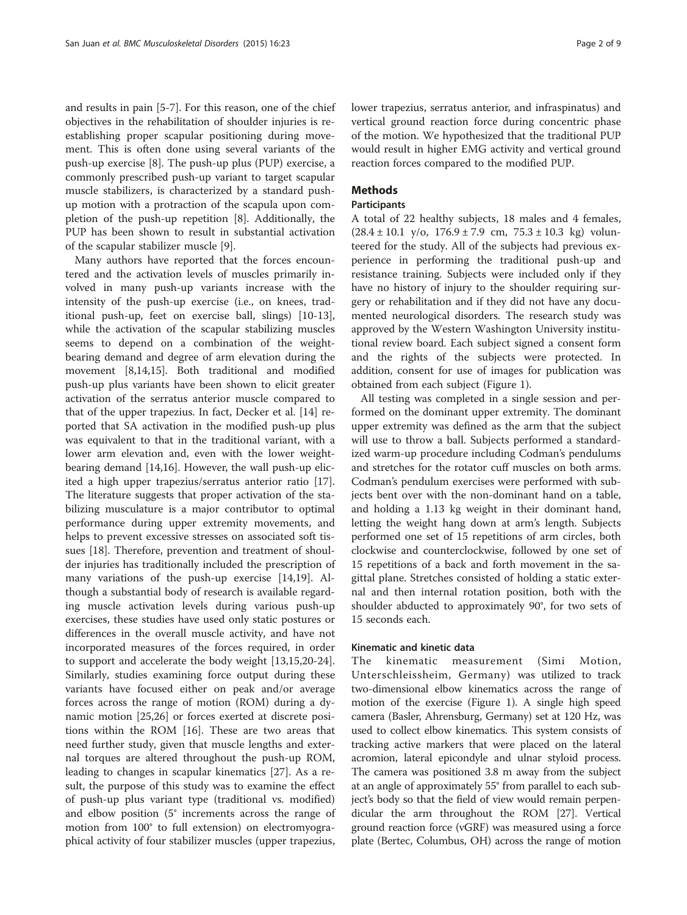and results in pain [[5-7](#page-7-0)]. For this reason, one of the chief objectives in the rehabilitation of shoulder injuries is reestablishing proper scapular positioning during movement. This is often done using several variants of the push-up exercise [\[8\]](#page-7-0). The push-up plus (PUP) exercise, a commonly prescribed push-up variant to target scapular muscle stabilizers, is characterized by a standard pushup motion with a protraction of the scapula upon completion of the push-up repetition [[8\]](#page-7-0). Additionally, the PUP has been shown to result in substantial activation of the scapular stabilizer muscle [\[9](#page-7-0)].

Many authors have reported that the forces encountered and the activation levels of muscles primarily involved in many push-up variants increase with the intensity of the push-up exercise (i.e., on knees, traditional push-up, feet on exercise ball, slings) [[10-13](#page-7-0)], while the activation of the scapular stabilizing muscles seems to depend on a combination of the weightbearing demand and degree of arm elevation during the movement [\[8,14,15](#page-7-0)]. Both traditional and modified push-up plus variants have been shown to elicit greater activation of the serratus anterior muscle compared to that of the upper trapezius. In fact, Decker et al. [[14\]](#page-7-0) reported that SA activation in the modified push-up plus was equivalent to that in the traditional variant, with a lower arm elevation and, even with the lower weightbearing demand [\[14,16\]](#page-7-0). However, the wall push-up elicited a high upper trapezius/serratus anterior ratio [\[17](#page-7-0)]. The literature suggests that proper activation of the stabilizing musculature is a major contributor to optimal performance during upper extremity movements, and helps to prevent excessive stresses on associated soft tissues [\[18](#page-7-0)]. Therefore, prevention and treatment of shoulder injuries has traditionally included the prescription of many variations of the push-up exercise [\[14,19](#page-7-0)]. Although a substantial body of research is available regarding muscle activation levels during various push-up exercises, these studies have used only static postures or differences in the overall muscle activity, and have not incorporated measures of the forces required, in order to support and accelerate the body weight [\[13,15,20-24](#page-7-0)]. Similarly, studies examining force output during these variants have focused either on peak and/or average forces across the range of motion (ROM) during a dynamic motion [[25](#page-7-0),[26](#page-7-0)] or forces exerted at discrete positions within the ROM [[16](#page-7-0)]. These are two areas that need further study, given that muscle lengths and external torques are altered throughout the push-up ROM, leading to changes in scapular kinematics [\[27](#page-7-0)]. As a result, the purpose of this study was to examine the effect of push-up plus variant type (traditional vs. modified) and elbow position (5° increments across the range of motion from 100° to full extension) on electromyographical activity of four stabilizer muscles (upper trapezius, lower trapezius, serratus anterior, and infraspinatus) and vertical ground reaction force during concentric phase of the motion. We hypothesized that the traditional PUP would result in higher EMG activity and vertical ground reaction forces compared to the modified PUP.

# **Methods**

#### **Participants**

A total of 22 healthy subjects, 18 males and 4 females,  $(28.4 \pm 10.1 \text{ y/o}, 176.9 \pm 7.9 \text{ cm}, 75.3 \pm 10.3 \text{ kg}) \text{ volume}$ teered for the study. All of the subjects had previous experience in performing the traditional push-up and resistance training. Subjects were included only if they have no history of injury to the shoulder requiring surgery or rehabilitation and if they did not have any documented neurological disorders. The research study was approved by the Western Washington University institutional review board. Each subject signed a consent form and the rights of the subjects were protected. In addition, consent for use of images for publication was obtained from each subject (Figure [1\)](#page-2-0).

All testing was completed in a single session and performed on the dominant upper extremity. The dominant upper extremity was defined as the arm that the subject will use to throw a ball. Subjects performed a standardized warm-up procedure including Codman's pendulums and stretches for the rotator cuff muscles on both arms. Codman's pendulum exercises were performed with subjects bent over with the non-dominant hand on a table, and holding a 1.13 kg weight in their dominant hand, letting the weight hang down at arm's length. Subjects performed one set of 15 repetitions of arm circles, both clockwise and counterclockwise, followed by one set of 15 repetitions of a back and forth movement in the sagittal plane. Stretches consisted of holding a static external and then internal rotation position, both with the shoulder abducted to approximately 90°, for two sets of 15 seconds each.

# Kinematic and kinetic data

The kinematic measurement (Simi Motion, Unterschleissheim, Germany) was utilized to track two-dimensional elbow kinematics across the range of motion of the exercise (Figure [1\)](#page-2-0). A single high speed camera (Basler, Ahrensburg, Germany) set at 120 Hz, was used to collect elbow kinematics. This system consists of tracking active markers that were placed on the lateral acromion, lateral epicondyle and ulnar styloid process. The camera was positioned 3.8 m away from the subject at an angle of approximately 55° from parallel to each subject's body so that the field of view would remain perpendicular the arm throughout the ROM [[27](#page-7-0)]. Vertical ground reaction force (vGRF) was measured using a force plate (Bertec, Columbus, OH) across the range of motion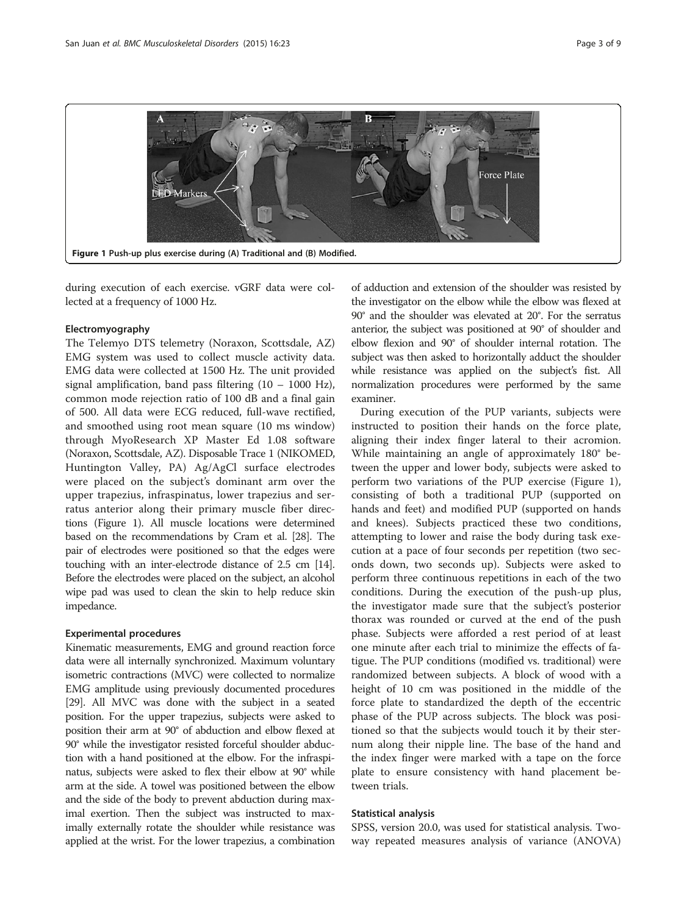<span id="page-2-0"></span>

during execution of each exercise. vGRF data were collected at a frequency of 1000 Hz.

# Electromyography

The Telemyo DTS telemetry (Noraxon, Scottsdale, AZ) EMG system was used to collect muscle activity data. EMG data were collected at 1500 Hz. The unit provided signal amplification, band pass filtering  $(10 - 1000 \text{ Hz})$ , common mode rejection ratio of 100 dB and a final gain of 500. All data were ECG reduced, full-wave rectified, and smoothed using root mean square (10 ms window) through MyoResearch XP Master Ed 1.08 software (Noraxon, Scottsdale, AZ). Disposable Trace 1 (NIKOMED, Huntington Valley, PA) Ag/AgCl surface electrodes were placed on the subject's dominant arm over the upper trapezius, infraspinatus, lower trapezius and serratus anterior along their primary muscle fiber directions (Figure 1). All muscle locations were determined based on the recommendations by Cram et al. [\[28\]](#page-7-0). The pair of electrodes were positioned so that the edges were touching with an inter-electrode distance of 2.5 cm [\[14](#page-7-0)]. Before the electrodes were placed on the subject, an alcohol wipe pad was used to clean the skin to help reduce skin impedance.

## Experimental procedures

Kinematic measurements, EMG and ground reaction force data were all internally synchronized. Maximum voluntary isometric contractions (MVC) were collected to normalize EMG amplitude using previously documented procedures [[29](#page-7-0)]. All MVC was done with the subject in a seated position. For the upper trapezius, subjects were asked to position their arm at 90° of abduction and elbow flexed at 90° while the investigator resisted forceful shoulder abduction with a hand positioned at the elbow. For the infraspinatus, subjects were asked to flex their elbow at 90° while arm at the side. A towel was positioned between the elbow and the side of the body to prevent abduction during maximal exertion. Then the subject was instructed to maximally externally rotate the shoulder while resistance was applied at the wrist. For the lower trapezius, a combination of adduction and extension of the shoulder was resisted by the investigator on the elbow while the elbow was flexed at 90° and the shoulder was elevated at 20°. For the serratus anterior, the subject was positioned at 90° of shoulder and elbow flexion and 90° of shoulder internal rotation. The subject was then asked to horizontally adduct the shoulder while resistance was applied on the subject's fist. All normalization procedures were performed by the same examiner.

During execution of the PUP variants, subjects were instructed to position their hands on the force plate, aligning their index finger lateral to their acromion. While maintaining an angle of approximately 180° between the upper and lower body, subjects were asked to perform two variations of the PUP exercise (Figure 1), consisting of both a traditional PUP (supported on hands and feet) and modified PUP (supported on hands and knees). Subjects practiced these two conditions, attempting to lower and raise the body during task execution at a pace of four seconds per repetition (two seconds down, two seconds up). Subjects were asked to perform three continuous repetitions in each of the two conditions. During the execution of the push-up plus, the investigator made sure that the subject's posterior thorax was rounded or curved at the end of the push phase. Subjects were afforded a rest period of at least one minute after each trial to minimize the effects of fatigue. The PUP conditions (modified vs. traditional) were randomized between subjects. A block of wood with a height of 10 cm was positioned in the middle of the force plate to standardized the depth of the eccentric phase of the PUP across subjects. The block was positioned so that the subjects would touch it by their sternum along their nipple line. The base of the hand and the index finger were marked with a tape on the force plate to ensure consistency with hand placement between trials.

#### Statistical analysis

SPSS, version 20.0, was used for statistical analysis. Twoway repeated measures analysis of variance (ANOVA)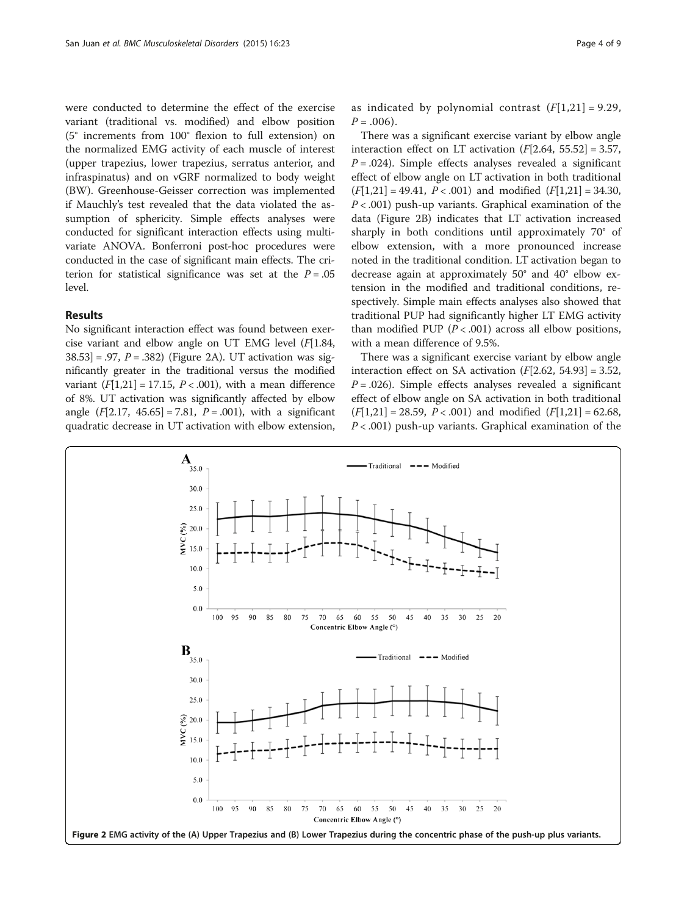were conducted to determine the effect of the exercise variant (traditional vs. modified) and elbow position (5° increments from 100° flexion to full extension) on the normalized EMG activity of each muscle of interest (upper trapezius, lower trapezius, serratus anterior, and infraspinatus) and on vGRF normalized to body weight (BW). Greenhouse-Geisser correction was implemented if Mauchly's test revealed that the data violated the assumption of sphericity. Simple effects analyses were conducted for significant interaction effects using multivariate ANOVA. Bonferroni post-hoc procedures were conducted in the case of significant main effects. The criterion for statistical significance was set at the  $P = .05$ level.

# Results

No significant interaction effect was found between exercise variant and elbow angle on UT EMG level  $(F[1.84,$  $38.53$ ] = .97,  $P = .382$ ) (Figure 2A). UT activation was significantly greater in the traditional versus the modified variant  $(F[1,21] = 17.15, P < .001)$  $(F[1,21] = 17.15, P < .001)$  $(F[1,21] = 17.15, P < .001)$ , with a mean difference of 8%. UT activation was significantly affected by elbow angle  $(F[2.17, 45.65] = 7.81, P = .001)$ , with a significant quadratic decrease in UT activation with elbow extension,

as indicated by polynomial contrast  $(F[1,21] = 9.29)$  $(F[1,21] = 9.29)$  $(F[1,21] = 9.29)$ ,  $P = .006$ ).

There was a significant exercise variant by elbow angle interaction effect on LT activation  $(F[2.64, 55.52] = 3.57,$  $P = .024$ ). Simple effects analyses revealed a significant effect of elbow angle on LT activation in both traditional  $(F[1,21] = 49.41, P < .001)$  $(F[1,21] = 49.41, P < .001)$  $(F[1,21] = 49.41, P < .001)$  and modified  $(F[1,21] = 34.30,$  $(F[1,21] = 34.30,$  $(F[1,21] = 34.30,$  $P < .001$ ) push-up variants. Graphical examination of the data (Figure 2B) indicates that LT activation increased sharply in both conditions until approximately 70° of elbow extension, with a more pronounced increase noted in the traditional condition. LT activation began to decrease again at approximately 50° and 40° elbow extension in the modified and traditional conditions, respectively. Simple main effects analyses also showed that traditional PUP had significantly higher LT EMG activity than modified PUP  $(P < .001)$  across all elbow positions, with a mean difference of 9.5%.

There was a significant exercise variant by elbow angle interaction effect on SA activation  $(F[2.62, 54.93] = 3.52,$  $P = .026$ ). Simple effects analyses revealed a significant effect of elbow angle on SA activation in both traditional  $(F[1,21] = 28.59, P < .001)$  $(F[1,21] = 28.59, P < .001)$  $(F[1,21] = 28.59, P < .001)$  and modified  $(F[1,21] = 62.68,$  $(F[1,21] = 62.68,$  $(F[1,21] = 62.68,$  $P < .001$ ) push-up variants. Graphical examination of the

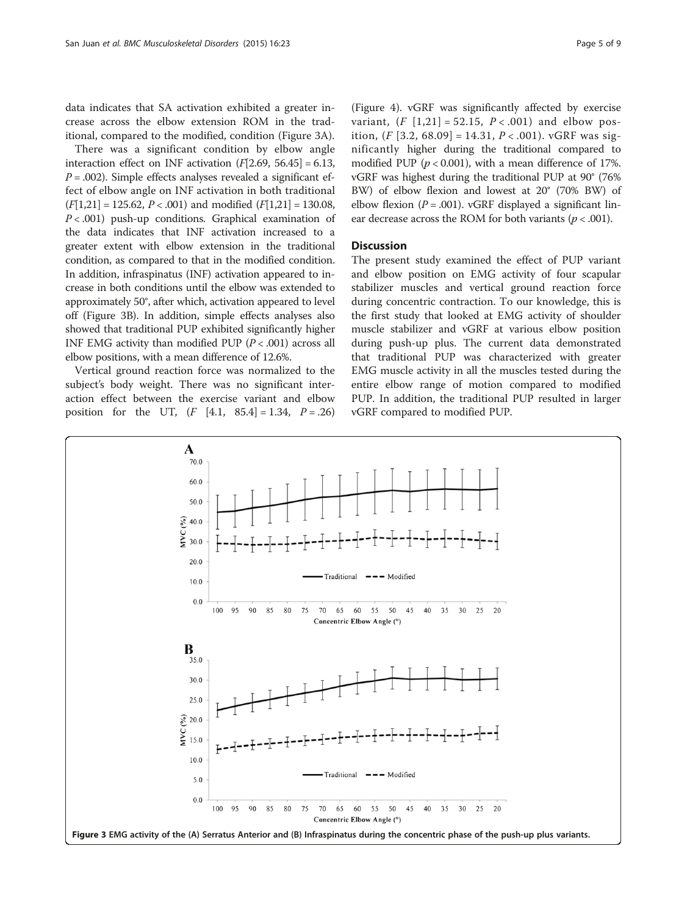There was a significant condition by elbow angle interaction effect on INF activation  $(F[2.69, 56.45] = 6.13,$  $P = .002$ ). Simple effects analyses revealed a significant effect of elbow angle on INF activation in both traditional  $(F[1,21] = 125.62, P < .001)$  $(F[1,21] = 125.62, P < .001)$  $(F[1,21] = 125.62, P < .001)$  and modified  $(F[1,21] = 130.08,$  $(F[1,21] = 130.08,$  $(F[1,21] = 130.08,$  $P < .001$ ) push-up conditions. Graphical examination of the data indicates that INF activation increased to a greater extent with elbow extension in the traditional condition, as compared to that in the modified condition. In addition, infraspinatus (INF) activation appeared to increase in both conditions until the elbow was extended to approximately 50°, after which, activation appeared to level off (Figure 3B). In addition, simple effects analyses also showed that traditional PUP exhibited significantly higher INF EMG activity than modified PUP  $(P < .001)$  across all elbow positions, with a mean difference of 12.6%.

Vertical ground reaction force was normalized to the subject's body weight. There was no significant interaction effect between the exercise variant and elbow position for the UT,  $(F [4.1, 85.4] = 1.34, P = .26)$ 

(Figure [4](#page-5-0)). vGRF was significantly affected by exercise variant,  $(F [1,21] = 52.15, P < .001)$  $(F [1,21] = 52.15, P < .001)$  $(F [1,21] = 52.15, P < .001)$  $(F [1,21] = 52.15, P < .001)$  $(F [1,21] = 52.15, P < .001)$  and elbow position,  $(F [3.2, 68.09] = 14.31, P < .001)$ . vGRF was significantly higher during the traditional compared to modified PUP ( $p < 0.001$ ), with a mean difference of 17%. vGRF was highest during the traditional PUP at 90° (76% BW) of elbow flexion and lowest at 20° (70% BW) of elbow flexion ( $P = .001$ ). vGRF displayed a significant lin-

ear decrease across the ROM for both variants ( $p < .001$ ).

## **Discussion**

The present study examined the effect of PUP variant and elbow position on EMG activity of four scapular stabilizer muscles and vertical ground reaction force during concentric contraction. To our knowledge, this is the first study that looked at EMG activity of shoulder muscle stabilizer and vGRF at various elbow position during push-up plus. The current data demonstrated that traditional PUP was characterized with greater EMG muscle activity in all the muscles tested during the entire elbow range of motion compared to modified PUP. In addition, the traditional PUP resulted in larger vGRF compared to modified PUP.

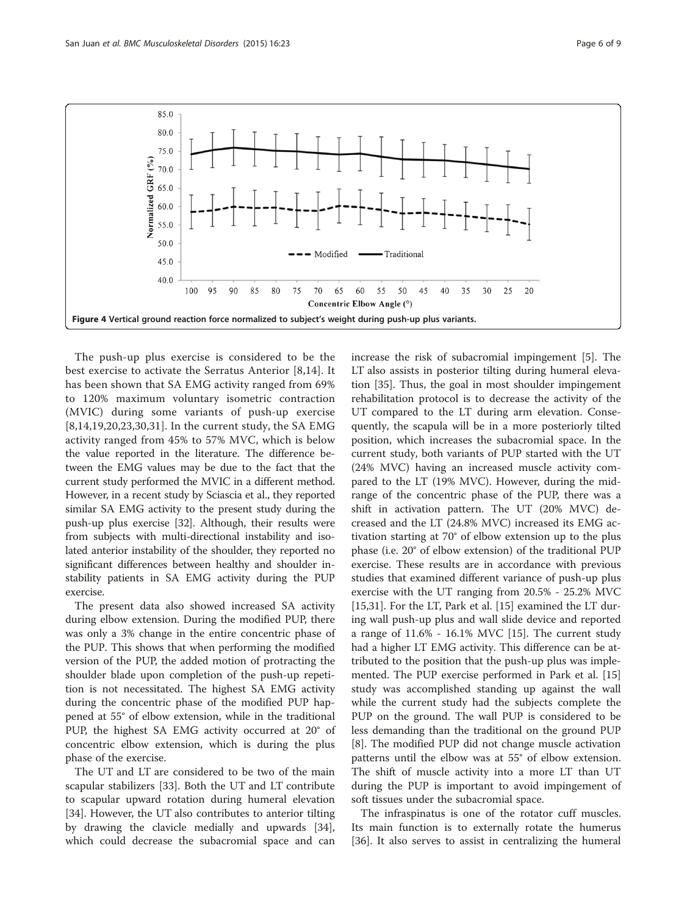<span id="page-5-0"></span>

The push-up plus exercise is considered to be the best exercise to activate the Serratus Anterior [[8,14](#page-7-0)]. It has been shown that SA EMG activity ranged from 69% to 120% maximum voluntary isometric contraction (MVIC) during some variants of push-up exercise [[8,14](#page-7-0),[19,20](#page-7-0),[23,30,31\]](#page-7-0). In the current study, the SA EMG activity ranged from 45% to 57% MVC, which is below the value reported in the literature. The difference between the EMG values may be due to the fact that the current study performed the MVIC in a different method. However, in a recent study by Sciascia et al., they reported similar SA EMG activity to the present study during the push-up plus exercise [\[32](#page-8-0)]. Although, their results were from subjects with multi-directional instability and isolated anterior instability of the shoulder, they reported no significant differences between healthy and shoulder instability patients in SA EMG activity during the PUP exercise.

The present data also showed increased SA activity during elbow extension. During the modified PUP, there was only a 3% change in the entire concentric phase of the PUP. This shows that when performing the modified version of the PUP, the added motion of protracting the shoulder blade upon completion of the push-up repetition is not necessitated. The highest SA EMG activity during the concentric phase of the modified PUP happened at 55° of elbow extension, while in the traditional PUP, the highest SA EMG activity occurred at 20° of concentric elbow extension, which is during the plus phase of the exercise.

The UT and LT are considered to be two of the main scapular stabilizers [\[33\]](#page-8-0). Both the UT and LT contribute to scapular upward rotation during humeral elevation [[34\]](#page-8-0). However, the UT also contributes to anterior tilting by drawing the clavicle medially and upwards [\[34](#page-8-0)], which could decrease the subacromial space and can increase the risk of subacromial impingement [[5\]](#page-7-0). The LT also assists in posterior tilting during humeral elevation [[35\]](#page-8-0). Thus, the goal in most shoulder impingement rehabilitation protocol is to decrease the activity of the UT compared to the LT during arm elevation. Consequently, the scapula will be in a more posteriorly tilted position, which increases the subacromial space. In the current study, both variants of PUP started with the UT (24% MVC) having an increased muscle activity compared to the LT (19% MVC). However, during the midrange of the concentric phase of the PUP, there was a shift in activation pattern. The UT (20% MVC) decreased and the LT (24.8% MVC) increased its EMG activation starting at 70° of elbow extension up to the plus phase (i.e. 20° of elbow extension) of the traditional PUP exercise. These results are in accordance with previous studies that examined different variance of push-up plus exercise with the UT ranging from 20.5% - 25.2% MVC [[15,31\]](#page-7-0). For the LT, Park et al. [[15\]](#page-7-0) examined the LT during wall push-up plus and wall slide device and reported a range of 11.6% - 16.1% MVC [[15](#page-7-0)]. The current study had a higher LT EMG activity. This difference can be attributed to the position that the push-up plus was implemented. The PUP exercise performed in Park et al. [[15](#page-7-0)] study was accomplished standing up against the wall while the current study had the subjects complete the PUP on the ground. The wall PUP is considered to be less demanding than the traditional on the ground PUP [[8\]](#page-7-0). The modified PUP did not change muscle activation patterns until the elbow was at 55° of elbow extension. The shift of muscle activity into a more LT than UT during the PUP is important to avoid impingement of soft tissues under the subacromial space.

The infraspinatus is one of the rotator cuff muscles. Its main function is to externally rotate the humerus [[36\]](#page-8-0). It also serves to assist in centralizing the humeral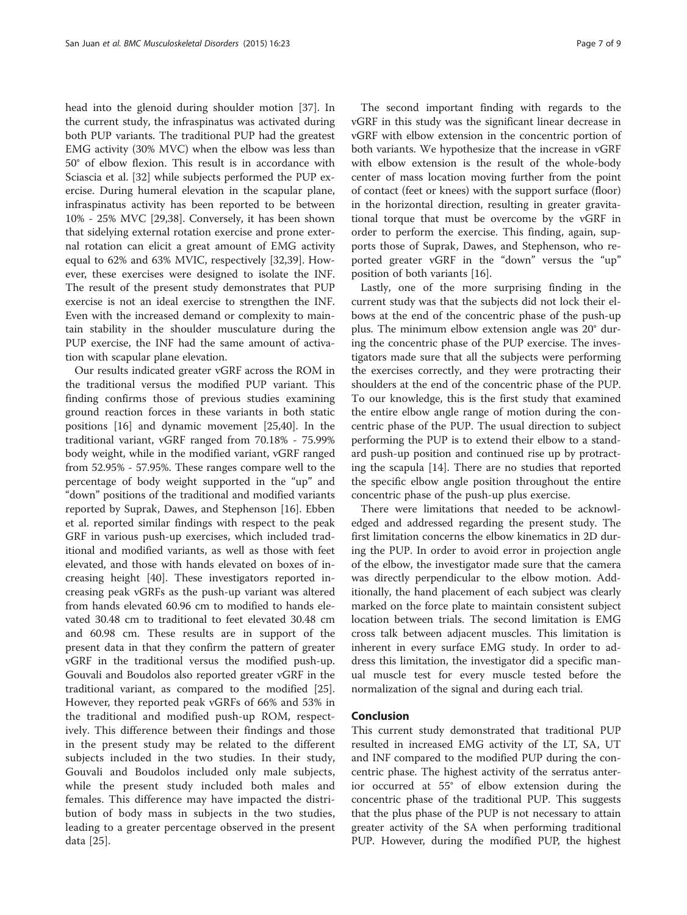head into the glenoid during shoulder motion [\[37\]](#page-8-0). In the current study, the infraspinatus was activated during both PUP variants. The traditional PUP had the greatest EMG activity (30% MVC) when the elbow was less than 50° of elbow flexion. This result is in accordance with Sciascia et al. [[32\]](#page-8-0) while subjects performed the PUP exercise. During humeral elevation in the scapular plane, infraspinatus activity has been reported to be between 10% - 25% MVC [[29](#page-7-0)[,38](#page-8-0)]. Conversely, it has been shown that sidelying external rotation exercise and prone external rotation can elicit a great amount of EMG activity equal to 62% and 63% MVIC, respectively [\[32,39\]](#page-8-0). However, these exercises were designed to isolate the INF. The result of the present study demonstrates that PUP exercise is not an ideal exercise to strengthen the INF. Even with the increased demand or complexity to maintain stability in the shoulder musculature during the PUP exercise, the INF had the same amount of activation with scapular plane elevation.

Our results indicated greater vGRF across the ROM in the traditional versus the modified PUP variant. This finding confirms those of previous studies examining ground reaction forces in these variants in both static positions [[16\]](#page-7-0) and dynamic movement [[25](#page-7-0)[,40](#page-8-0)]. In the traditional variant, vGRF ranged from 70.18% - 75.99% body weight, while in the modified variant, vGRF ranged from 52.95% - 57.95%. These ranges compare well to the percentage of body weight supported in the "up" and "down" positions of the traditional and modified variants reported by Suprak, Dawes, and Stephenson [[16](#page-7-0)]. Ebben et al. reported similar findings with respect to the peak GRF in various push-up exercises, which included traditional and modified variants, as well as those with feet elevated, and those with hands elevated on boxes of increasing height [\[40](#page-8-0)]. These investigators reported increasing peak vGRFs as the push-up variant was altered from hands elevated 60.96 cm to modified to hands elevated 30.48 cm to traditional to feet elevated 30.48 cm and 60.98 cm. These results are in support of the present data in that they confirm the pattern of greater vGRF in the traditional versus the modified push-up. Gouvali and Boudolos also reported greater vGRF in the traditional variant, as compared to the modified [\[25](#page-7-0)]. However, they reported peak vGRFs of 66% and 53% in the traditional and modified push-up ROM, respectively. This difference between their findings and those in the present study may be related to the different subjects included in the two studies. In their study, Gouvali and Boudolos included only male subjects, while the present study included both males and females. This difference may have impacted the distribution of body mass in subjects in the two studies, leading to a greater percentage observed in the present data [[25](#page-7-0)].

The second important finding with regards to the vGRF in this study was the significant linear decrease in vGRF with elbow extension in the concentric portion of both variants. We hypothesize that the increase in vGRF with elbow extension is the result of the whole-body center of mass location moving further from the point of contact (feet or knees) with the support surface (floor) in the horizontal direction, resulting in greater gravitational torque that must be overcome by the vGRF in order to perform the exercise. This finding, again, supports those of Suprak, Dawes, and Stephenson, who reported greater vGRF in the "down" versus the "up" position of both variants [\[16](#page-7-0)].

Lastly, one of the more surprising finding in the current study was that the subjects did not lock their elbows at the end of the concentric phase of the push-up plus. The minimum elbow extension angle was 20° during the concentric phase of the PUP exercise. The investigators made sure that all the subjects were performing the exercises correctly, and they were protracting their shoulders at the end of the concentric phase of the PUP. To our knowledge, this is the first study that examined the entire elbow angle range of motion during the concentric phase of the PUP. The usual direction to subject performing the PUP is to extend their elbow to a standard push-up position and continued rise up by protracting the scapula [[14](#page-7-0)]. There are no studies that reported the specific elbow angle position throughout the entire concentric phase of the push-up plus exercise.

There were limitations that needed to be acknowledged and addressed regarding the present study. The first limitation concerns the elbow kinematics in 2D during the PUP. In order to avoid error in projection angle of the elbow, the investigator made sure that the camera was directly perpendicular to the elbow motion. Additionally, the hand placement of each subject was clearly marked on the force plate to maintain consistent subject location between trials. The second limitation is EMG cross talk between adjacent muscles. This limitation is inherent in every surface EMG study. In order to address this limitation, the investigator did a specific manual muscle test for every muscle tested before the normalization of the signal and during each trial.

#### Conclusion

This current study demonstrated that traditional PUP resulted in increased EMG activity of the LT, SA, UT and INF compared to the modified PUP during the concentric phase. The highest activity of the serratus anterior occurred at 55° of elbow extension during the concentric phase of the traditional PUP. This suggests that the plus phase of the PUP is not necessary to attain greater activity of the SA when performing traditional PUP. However, during the modified PUP, the highest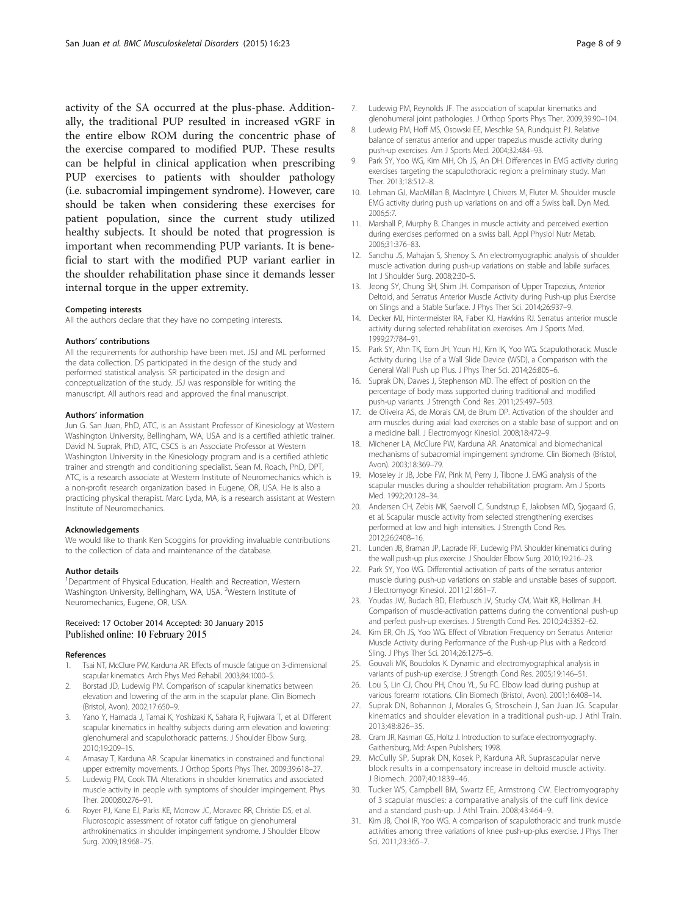<span id="page-7-0"></span>activity of the SA occurred at the plus-phase. Additionally, the traditional PUP resulted in increased vGRF in the entire elbow ROM during the concentric phase of the exercise compared to modified PUP. These results can be helpful in clinical application when prescribing PUP exercises to patients with shoulder pathology (i.e. subacromial impingement syndrome). However, care should be taken when considering these exercises for patient population, since the current study utilized healthy subjects. It should be noted that progression is important when recommending PUP variants. It is beneficial to start with the modified PUP variant earlier in the shoulder rehabilitation phase since it demands lesser internal torque in the upper extremity.

#### Competing interests

All the authors declare that they have no competing interests.

#### Authors' contributions

All the requirements for authorship have been met. JSJ and ML performed the data collection. DS participated in the design of the study and performed statistical analysis. SR participated in the design and conceptualization of the study. JSJ was responsible for writing the manuscript. All authors read and approved the final manuscript.

#### Authors' information

Jun G. San Juan, PhD, ATC, is an Assistant Professor of Kinesiology at Western Washington University, Bellingham, WA, USA and is a certified athletic trainer. David N. Suprak, PhD, ATC, CSCS is an Associate Professor at Western Washington University in the Kinesiology program and is a certified athletic trainer and strength and conditioning specialist. Sean M. Roach, PhD, DPT, ATC, is a research associate at Western Institute of Neuromechanics which is a non-profit research organization based in Eugene, OR, USA. He is also a practicing physical therapist. Marc Lyda, MA, is a research assistant at Western Institute of Neuromechanics.

#### Acknowledgements

We would like to thank Ken Scoggins for providing invaluable contributions to the collection of data and maintenance of the database.

#### Author details

<sup>1</sup>Department of Physical Education, Health and Recreation, Western Washington University, Bellingham, WA, USA. <sup>2</sup>Western Institute of Neuromechanics, Eugene, OR, USA.

#### Received: 17 October 2014 Accepted: 30 January 2015 Published online: 10 February 2015

#### References

- 1. Tsai NT, McClure PW, Karduna AR. Effects of muscle fatigue on 3-dimensional scapular kinematics. Arch Phys Med Rehabil. 2003;84:1000–5.
- 2. Borstad JD, Ludewig PM. Comparison of scapular kinematics between elevation and lowering of the arm in the scapular plane. Clin Biomech (Bristol, Avon). 2002;17:650–9.
- 3. Yano Y, Hamada J, Tamai K, Yoshizaki K, Sahara R, Fujiwara T, et al. Different scapular kinematics in healthy subjects during arm elevation and lowering: glenohumeral and scapulothoracic patterns. J Shoulder Elbow Surg. 2010;19:209–15.
- 4. Amasay T, Karduna AR. Scapular kinematics in constrained and functional upper extremity movements. J Orthop Sports Phys Ther. 2009;39:618–27.
- Ludewig PM, Cook TM. Alterations in shoulder kinematics and associated muscle activity in people with symptoms of shoulder impingement. Phys Ther. 2000;80:276–91.
- Royer PJ, Kane EJ, Parks KE, Morrow JC, Moravec RR, Christie DS, et al. Fluoroscopic assessment of rotator cuff fatigue on glenohumeral arthrokinematics in shoulder impingement syndrome. J Shoulder Elbow Surg. 2009;18:968–75.
- 7. Ludewig PM, Reynolds JF. The association of scapular kinematics and glenohumeral joint pathologies. J Orthop Sports Phys Ther. 2009;39:90–104.
- 8. Ludewig PM, Hoff MS, Osowski EE, Meschke SA, Rundquist PJ. Relative balance of serratus anterior and upper trapezius muscle activity during push-up exercises. Am J Sports Med. 2004;32:484–93.
- 9. Park SY, Yoo WG, Kim MH, Oh JS, An DH. Differences in EMG activity during exercises targeting the scapulothoracic region: a preliminary study. Man Ther. 2013;18:512–8.
- 10. Lehman GJ, MacMillan B, MacIntyre I, Chivers M, Fluter M. Shoulder muscle EMG activity during push up variations on and off a Swiss ball. Dyn Med. 2006;5:7.
- 11. Marshall P, Murphy B. Changes in muscle activity and perceived exertion during exercises performed on a swiss ball. Appl Physiol Nutr Metab. 2006;31:376–83.
- 12. Sandhu JS, Mahajan S, Shenoy S. An electromyographic analysis of shoulder muscle activation during push-up variations on stable and labile surfaces. Int J Shoulder Surg. 2008;2:30–5.
- 13. Jeong SY, Chung SH, Shim JH. Comparison of Upper Trapezius, Anterior Deltoid, and Serratus Anterior Muscle Activity during Push-up plus Exercise on Slings and a Stable Surface. J Phys Ther Sci. 2014;26:937–9.
- 14. Decker MJ, Hintermeister RA, Faber KJ, Hawkins RJ. Serratus anterior muscle activity during selected rehabilitation exercises. Am J Sports Med. 1999;27:784–91.
- 15. Park SY, Ahn TK, Eom JH, Youn HJ, Kim IK, Yoo WG. Scapulothoracic Muscle Activity during Use of a Wall Slide Device (WSD), a Comparison with the General Wall Push up Plus. J Phys Ther Sci. 2014;26:805–6.
- 16. Suprak DN, Dawes J, Stephenson MD. The effect of position on the percentage of body mass supported during traditional and modified push-up variants. J Strength Cond Res. 2011;25:497–503.
- 17. de Oliveira AS, de Morais CM, de Brum DP. Activation of the shoulder and arm muscles during axial load exercises on a stable base of support and on a medicine ball. J Electromyogr Kinesiol. 2008;18:472–9.
- 18. Michener LA, McClure PW, Karduna AR. Anatomical and biomechanical mechanisms of subacromial impingement syndrome. Clin Biomech (Bristol, Avon). 2003;18:369–79.
- 19. Moseley Jr JB, Jobe FW, Pink M, Perry J, Tibone J. EMG analysis of the scapular muscles during a shoulder rehabilitation program. Am J Sports Med. 1992;20:128–34.
- 20. Andersen CH, Zebis MK, Saervoll C, Sundstrup E, Jakobsen MD, Sjogaard G, et al. Scapular muscle activity from selected strengthening exercises performed at low and high intensities. J Strength Cond Res. 2012;26:2408–16.
- 21. Lunden JB, Braman JP, Laprade RF, Ludewig PM. Shoulder kinematics during the wall push-up plus exercise. J Shoulder Elbow Surg. 2010;19:216–23.
- 22. Park SY, Yoo WG. Differential activation of parts of the serratus anterior muscle during push-up variations on stable and unstable bases of support. J Electromyogr Kinesiol. 2011;21:861–7.
- 23. Youdas JW, Budach BD, Ellerbusch JV, Stucky CM, Wait KR, Hollman JH. Comparison of muscle-activation patterns during the conventional push-up and perfect push-up exercises. J Strength Cond Res. 2010;24:3352–62.
- 24. Kim ER, Oh JS, Yoo WG. Effect of Vibration Frequency on Serratus Anterior Muscle Activity during Performance of the Push-up Plus with a Redcord Sling. J Phys Ther Sci. 2014;26:1275–6.
- 25. Gouvali MK, Boudolos K. Dynamic and electromyographical analysis in variants of push-up exercise. J Strength Cond Res. 2005;19:146–51.
- 26. Lou S, Lin CJ, Chou PH, Chou YL, Su FC. Elbow load during pushup at various forearm rotations. Clin Biomech (Bristol, Avon). 2001;16:408–14.
- 27. Suprak DN, Bohannon J, Morales G, Stroschein J, San Juan JG. Scapular kinematics and shoulder elevation in a traditional push-up. J Athl Train. 2013;48:826–35.
- 28. Cram JR, Kasman GS, Holtz J. Introduction to surface electromyography. Gaithersburg, Md: Aspen Publishers; 1998.
- 29. McCully SP, Suprak DN, Kosek P, Karduna AR. Suprascapular nerve block results in a compensatory increase in deltoid muscle activity. J Biomech. 2007;40:1839–46.
- 30. Tucker WS, Campbell BM, Swartz EE, Armstrong CW. Electromyography of 3 scapular muscles: a comparative analysis of the cuff link device and a standard push-up. J Athl Train. 2008;43:464–9.
- 31. Kim JB, Choi IR, Yoo WG. A comparison of scapulothoracic and trunk muscle activities among three variations of knee push-up-plus exercise. J Phys Ther Sci. 2011;23:365–7.